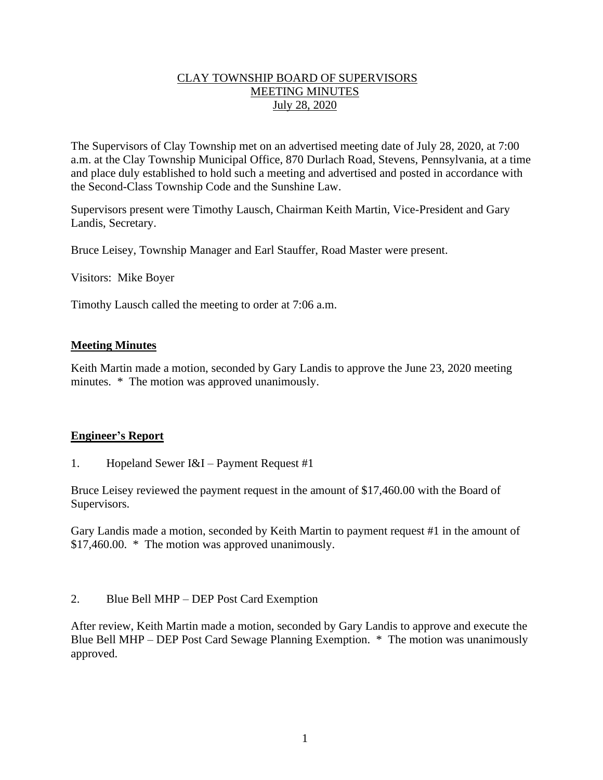## CLAY TOWNSHIP BOARD OF SUPERVISORS MEETING MINUTES July 28, 2020

The Supervisors of Clay Township met on an advertised meeting date of July 28, 2020, at 7:00 a.m. at the Clay Township Municipal Office, 870 Durlach Road, Stevens, Pennsylvania, at a time and place duly established to hold such a meeting and advertised and posted in accordance with the Second-Class Township Code and the Sunshine Law.

Supervisors present were Timothy Lausch, Chairman Keith Martin, Vice-President and Gary Landis, Secretary.

Bruce Leisey, Township Manager and Earl Stauffer, Road Master were present.

Visitors: Mike Boyer

Timothy Lausch called the meeting to order at 7:06 a.m.

#### **Meeting Minutes**

Keith Martin made a motion, seconded by Gary Landis to approve the June 23, 2020 meeting minutes. \* The motion was approved unanimously.

#### **Engineer's Report**

1. Hopeland Sewer I&I – Payment Request #1

Bruce Leisey reviewed the payment request in the amount of \$17,460.00 with the Board of Supervisors.

Gary Landis made a motion, seconded by Keith Martin to payment request #1 in the amount of \$17,460.00. \* The motion was approved unanimously.

2. Blue Bell MHP – DEP Post Card Exemption

After review, Keith Martin made a motion, seconded by Gary Landis to approve and execute the Blue Bell MHP – DEP Post Card Sewage Planning Exemption. \* The motion was unanimously approved.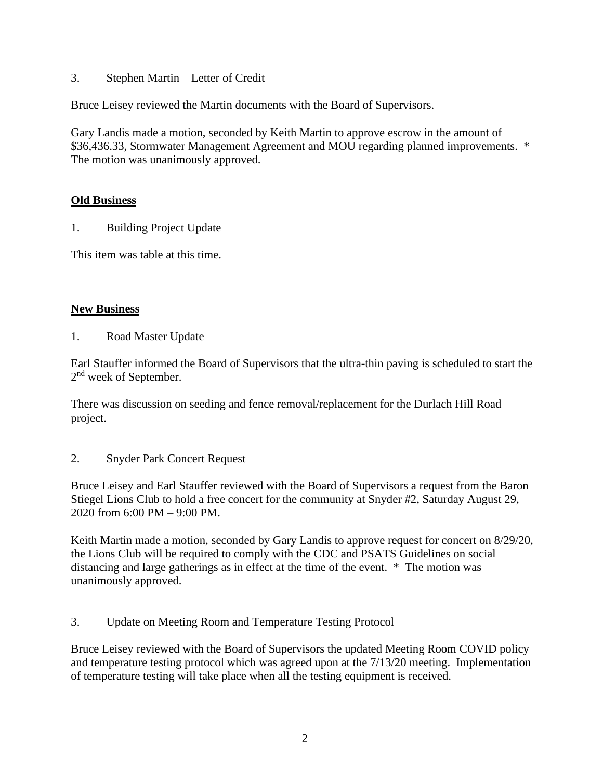3. Stephen Martin – Letter of Credit

Bruce Leisey reviewed the Martin documents with the Board of Supervisors.

Gary Landis made a motion, seconded by Keith Martin to approve escrow in the amount of \$36,436.33, Stormwater Management Agreement and MOU regarding planned improvements. \* The motion was unanimously approved.

## **Old Business**

1. Building Project Update

This item was table at this time.

## **New Business**

1. Road Master Update

Earl Stauffer informed the Board of Supervisors that the ultra-thin paving is scheduled to start the 2<sup>nd</sup> week of September.

There was discussion on seeding and fence removal/replacement for the Durlach Hill Road project.

2. Snyder Park Concert Request

Bruce Leisey and Earl Stauffer reviewed with the Board of Supervisors a request from the Baron Stiegel Lions Club to hold a free concert for the community at Snyder #2, Saturday August 29, 2020 from 6:00 PM – 9:00 PM.

Keith Martin made a motion, seconded by Gary Landis to approve request for concert on 8/29/20, the Lions Club will be required to comply with the CDC and PSATS Guidelines on social distancing and large gatherings as in effect at the time of the event. \* The motion was unanimously approved.

3. Update on Meeting Room and Temperature Testing Protocol

Bruce Leisey reviewed with the Board of Supervisors the updated Meeting Room COVID policy and temperature testing protocol which was agreed upon at the 7/13/20 meeting. Implementation of temperature testing will take place when all the testing equipment is received.